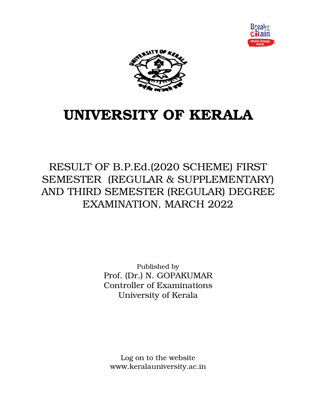



# UNIVERSITY OF KERALA

RESULT OF B.P.Ed.(2020 SCHEME) FIRST SEMESTER (REGULAR & SUPPLEMENTARY) AND THIRD SEMESTER (REGULAR) DEGREE EXAMINATION, MARCH 2022

> Published by Prof. (Dr.) N. GOPAKUMAR Controller of Examinations University of Kerala

Log on to the website www.keralauniversity.ac.in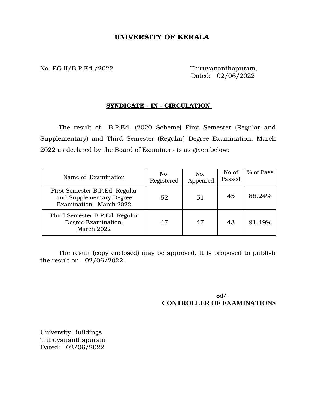## UNIVERSITY OF KERALA

No. EG II/B.P.Ed./2022 Thiruvananthapuram,

Dated: 02/06/2022

### SYNDICATE - IN - CIRCULATION

The result of B.P.Ed. (2020 Scheme) First Semester (Regular and Supplementary) and Third Semester (Regular) Degree Examination, March 2022 as declared by the Board of Examiners is as given below:

| Name of Examination                                                                   | No.<br>Registered | No.<br>Appeared | No of<br>Passed | % of Pass |
|---------------------------------------------------------------------------------------|-------------------|-----------------|-----------------|-----------|
| First Semester B.P.Ed. Regular<br>and Supplementary Degree<br>Examination, March 2022 | 52                | 51              | 45              | 88.24%    |
| Third Semester B.P.Ed. Regular<br>Degree Examination,<br>March 2022                   | 47                | 47              | 43              | 91.49%    |

The result (copy enclosed) may be approved. It is proposed to publish the result on 02/06/2022.

> $Sd$  /-**CONTROLLER OF EXAMINATIONS**

University Buildings Thiruvananthapuram Dated: 02/06/2022